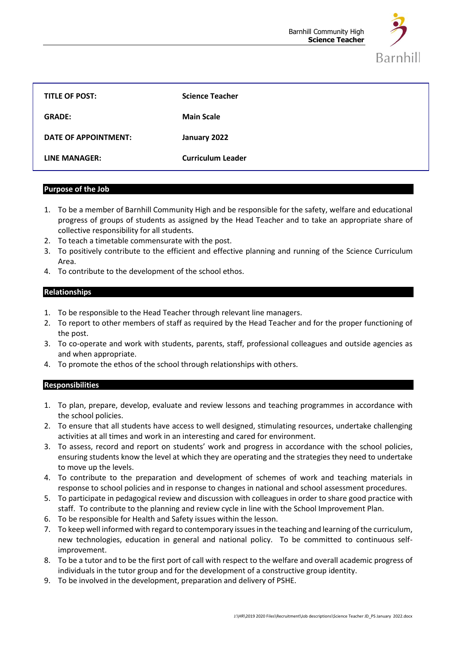

| <b>TITLE OF POST:</b> | <b>Science Teacher</b>   |
|-----------------------|--------------------------|
| <b>GRADE:</b>         | <b>Main Scale</b>        |
| DATE OF APPOINTMENT:  | January 2022             |
| LINE MANAGER:         | <b>Curriculum Leader</b> |

#### **Purpose of the Job**

- 1. To be a member of Barnhill Community High and be responsible for the safety, welfare and educational progress of groups of students as assigned by the Head Teacher and to take an appropriate share of collective responsibility for all students.
- 2. To teach a timetable commensurate with the post.
- 3. To positively contribute to the efficient and effective planning and running of the Science Curriculum Area.
- 4. To contribute to the development of the school ethos.

# **Relationships**

- 1. To be responsible to the Head Teacher through relevant line managers.
- 2. To report to other members of staff as required by the Head Teacher and for the proper functioning of the post.
- 3. To co-operate and work with students, parents, staff, professional colleagues and outside agencies as and when appropriate.
- 4. To promote the ethos of the school through relationships with others.

## **Responsibilities**

- 1. To plan, prepare, develop, evaluate and review lessons and teaching programmes in accordance with the school policies.
- 2. To ensure that all students have access to well designed, stimulating resources, undertake challenging activities at all times and work in an interesting and cared for environment.
- 3. To assess, record and report on students' work and progress in accordance with the school policies, ensuring students know the level at which they are operating and the strategies they need to undertake to move up the levels.
- 4. To contribute to the preparation and development of schemes of work and teaching materials in response to school policies and in response to changes in national and school assessment procedures.
- 5. To participate in pedagogical review and discussion with colleagues in order to share good practice with staff. To contribute to the planning and review cycle in line with the School Improvement Plan.
- 6. To be responsible for Health and Safety issues within the lesson.
- 7. To keep well informed with regard to contemporary issues in the teaching and learning of the curriculum, new technologies, education in general and national policy. To be committed to continuous selfimprovement.
- 8. To be a tutor and to be the first port of call with respect to the welfare and overall academic progress of individuals in the tutor group and for the development of a constructive group identity.
- 9. To be involved in the development, preparation and delivery of PSHE.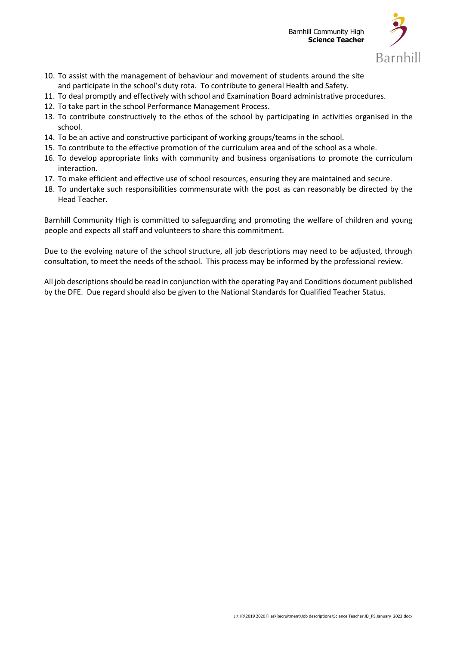

- 10. To assist with the management of behaviour and movement of students around the site and participate in the school's duty rota. To contribute to general Health and Safety.
- 11. To deal promptly and effectively with school and Examination Board administrative procedures.
- 12. To take part in the school Performance Management Process.
- 13. To contribute constructively to the ethos of the school by participating in activities organised in the school.
- 14. To be an active and constructive participant of working groups/teams in the school.
- 15. To contribute to the effective promotion of the curriculum area and of the school as a whole.
- 16. To develop appropriate links with community and business organisations to promote the curriculum interaction.
- 17. To make efficient and effective use of school resources, ensuring they are maintained and secure.
- 18. To undertake such responsibilities commensurate with the post as can reasonably be directed by the Head Teacher.

Barnhill Community High is committed to safeguarding and promoting the welfare of children and young people and expects all staff and volunteers to share this commitment.

Due to the evolving nature of the school structure, all job descriptions may need to be adjusted, through consultation, to meet the needs of the school. This process may be informed by the professional review.

All job descriptions should be read in conjunction with the operating Pay and Conditions document published by the DFE. Due regard should also be given to the National Standards for Qualified Teacher Status.